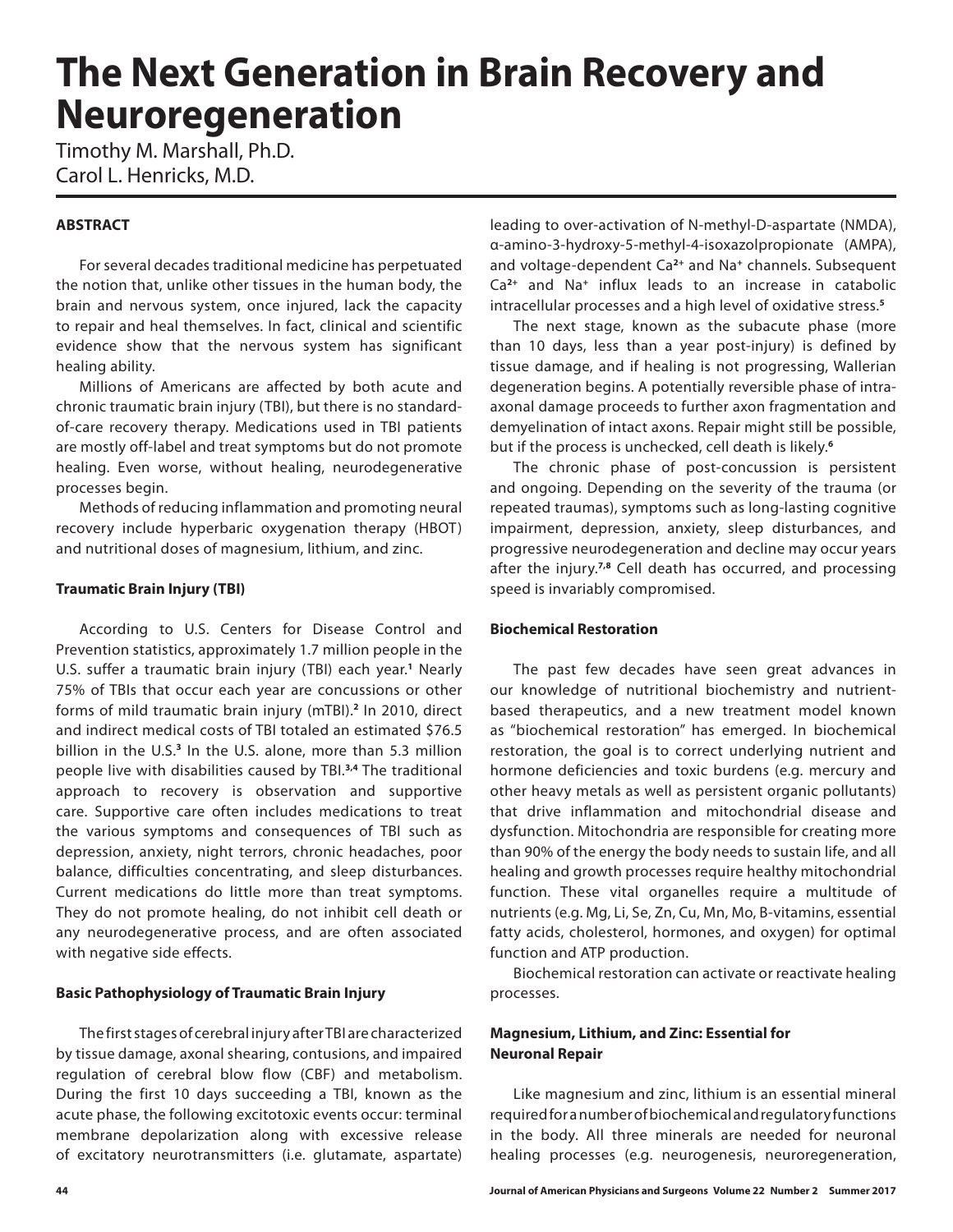# **The Next Generation in Brain Recovery and Neuroregeneration**

Timothy M. Marshall, Ph.D. Carol L. Henricks, M.D.

### **ABSTRACT**

For several decades traditional medicine has perpetuated the notion that, unlike other tissues in the human body, the brain and nervous system, once injured, lack the capacity to repair and heal themselves. In fact, clinical and scientific evidence show that the nervous system has significant healing ability.

Millions of Americans are affected by both acute and chronic traumatic brain injury (TBI), but there is no standardof-care recovery therapy. Medications used in TBI patients are mostly off-label and treat symptoms but do not promote healing. Even worse, without healing, neurodegenerative processes begin.

Methods of reducing inflammation and promoting neural recovery include hyperbaric oxygenation therapy (HBOT) and nutritional doses of magnesium, lithium, and zinc.

#### **Traumatic Brain Injury (TBI)**

According to U.S. Centers for Disease Control and Prevention statistics, approximately 1.7 million people in the U.S. suffer a traumatic brain injury (TBI) each year.**<sup>1</sup>** Nearly 75% of TBIs that occur each year are concussions or other forms of mild traumatic brain injury (mTBI).**<sup>2</sup>** In 2010, direct and indirect medical costs of TBI totaled an estimated \$76.5 billion in the U.S.**<sup>3</sup>** In the U.S. alone, more than 5.3 million people live with disabilities caused by TBI.**3,4** The traditional approach to recovery is observation and supportive care. Supportive care often includes medications to treat the various symptoms and consequences of TBI such as depression, anxiety, night terrors, chronic headaches, poor balance, difficulties concentrating, and sleep disturbances. Current medications do little more than treat symptoms. They do not promote healing, do not inhibit cell death or any neurodegenerative process, and are often associated with negative side effects.

#### **Basic Pathophysiology of Traumatic Brain Injury**

The first stages of cerebral injury after TBI are characterized by tissue damage, axonal shearing, contusions, and impaired regulation of cerebral blow flow (CBF) and metabolism. During the first 10 days succeeding a TBI, known as the acute phase, the following excitotoxic events occur: terminal membrane depolarization along with excessive release of excitatory neurotransmitters (i.e. glutamate, aspartate)

leading to over-activation of N-methyl-D-aspartate (NMDA), α-amino-3-hydroxy-5-methyl-4-isoxazolpropionate (AMPA), and voltage-dependent Ca**2+** and Na**<sup>+</sup>** channels. Subsequent Ca**2+** and Na**<sup>+</sup>** influx leads to an increase in catabolic intracellular processes and a high level of oxidative stress.**<sup>5</sup>**

The next stage, known as the subacute phase (more than 10 days, less than a year post-injury) is defined by tissue damage, and if healing is not progressing, Wallerian degeneration begins. A potentially reversible phase of intraaxonal damage proceeds to further axon fragmentation and demyelination of intact axons. Repair might still be possible, but if the process is unchecked, cell death is likely.**<sup>6</sup>**

The chronic phase of post-concussion is persistent and ongoing. Depending on the severity of the trauma (or repeated traumas), symptoms such as long-lasting cognitive impairment, depression, anxiety, sleep disturbances, and progressive neurodegeneration and decline may occur years after the injury.**7,8** Cell death has occurred, and processing speed is invariably compromised.

#### **Biochemical Restoration**

The past few decades have seen great advances in our knowledge of nutritional biochemistry and nutrientbased therapeutics, and a new treatment model known as "biochemical restoration" has emerged. In biochemical restoration, the goal is to correct underlying nutrient and hormone deficiencies and toxic burdens (e.g. mercury and other heavy metals as well as persistent organic pollutants) that drive inflammation and mitochondrial disease and dysfunction. Mitochondria are responsible for creating more than 90% of the energy the body needs to sustain life, and all healing and growth processes require healthy mitochondrial function. These vital organelles require a multitude of nutrients (e.g. Mg, Li, Se, Zn, Cu, Mn, Mo, B-vitamins, essential fatty acids, cholesterol, hormones, and oxygen) for optimal function and ATP production.

Biochemical restoration can activate or reactivate healing processes.

#### **Magnesium, Lithium, and Zinc: Essential for Neuronal Repair**

Like magnesium and zinc, lithium is an essential mineral required for a number of biochemical and regulatory functions in the body. All three minerals are needed for neuronal healing processes (e.g. neurogenesis, neuroregeneration,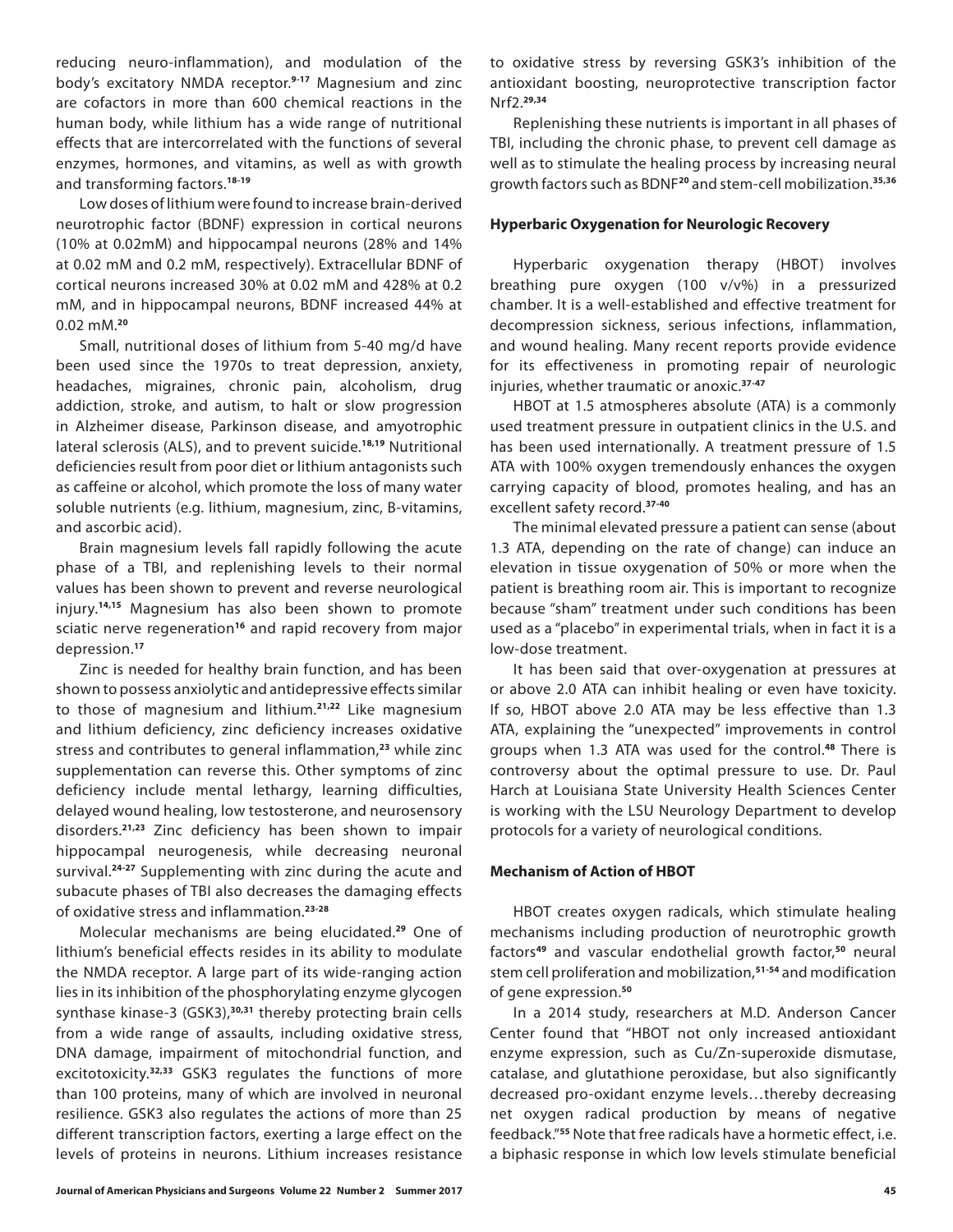reducing neuro-inflammation), and modulation of the body's excitatory NMDA receptor.**9-17** Magnesium and zinc are cofactors in more than 600 chemical reactions in the human body, while lithium has a wide range of nutritional effects that are intercorrelated with the functions of several enzymes, hormones, and vitamins, as well as with growth and transforming factors.**18-19**

Low doses of lithium were found to increase brain-derived neurotrophic factor (BDNF) expression in cortical neurons (10% at 0.02mM) and hippocampal neurons (28% and 14% at 0.02 mM and 0.2 mM, respectively). Extracellular BDNF of cortical neurons increased 30% at 0.02 mM and 428% at 0.2 mM, and in hippocampal neurons, BDNF increased 44% at 0.02 mM.**<sup>20</sup>**

Small, nutritional doses of lithium from 5-40 mg/d have been used since the 1970s to treat depression, anxiety, headaches, migraines, chronic pain, alcoholism, drug addiction, stroke, and autism, to halt or slow progression in Alzheimer disease, Parkinson disease, and amyotrophic lateral sclerosis (ALS), and to prevent suicide.**18,19** Nutritional deficiencies result from poor diet or lithium antagonists such as caffeine or alcohol, which promote the loss of many water soluble nutrients (e.g. lithium, magnesium, zinc, B-vitamins, and ascorbic acid).

Brain magnesium levels fall rapidly following the acute phase of a TBI, and replenishing levels to their normal values has been shown to prevent and reverse neurological injury.**14,15** Magnesium has also been shown to promote sciatic nerve regeneration**<sup>16</sup>** and rapid recovery from major depression.**<sup>17</sup>**

Zinc is needed for healthy brain function, and has been shown to possess anxiolytic and antidepressive effects similar to those of magnesium and lithium.**21,22** Like magnesium and lithium deficiency, zinc deficiency increases oxidative stress and contributes to general inflammation,**<sup>23</sup>** while zinc supplementation can reverse this. Other symptoms of zinc deficiency include mental lethargy, learning difficulties, delayed wound healing, low testosterone, and neurosensory disorders.**21,23** Zinc deficiency has been shown to impair hippocampal neurogenesis, while decreasing neuronal survival.**24-27** Supplementing with zinc during the acute and subacute phases of TBI also decreases the damaging effects of oxidative stress and inflammation.**23-28**

Molecular mechanisms are being elucidated.**<sup>29</sup>** One of lithium's beneficial effects resides in its ability to modulate the NMDA receptor. A large part of its wide-ranging action lies in its inhibition of the phosphorylating enzyme glycogen synthase kinase-3 (GSK3),**30,31** thereby protecting brain cells from a wide range of assaults, including oxidative stress, DNA damage, impairment of mitochondrial function, and excitotoxicity.**32,33** GSK3 regulates the functions of more than 100 proteins, many of which are involved in neuronal resilience. GSK3 also regulates the actions of more than 25 different transcription factors, exerting a large effect on the levels of proteins in neurons. Lithium increases resistance

to oxidative stress by reversing GSK3's inhibition of the antioxidant boosting, neuroprotective transcription factor Nrf2.**29,34**

Replenishing these nutrients is important in all phases of TBI, including the chronic phase, to prevent cell damage as well as to stimulate the healing process by increasing neural growth factors such as BDNF**<sup>20</sup>** and stem-cell mobilization.**35,36**

#### **Hyperbaric Oxygenation for Neurologic Recovery**

Hyperbaric oxygenation therapy (HBOT) involves breathing pure oxygen (100 v/v%) in a pressurized chamber. It is a well-established and effective treatment for decompression sickness, serious infections, inflammation, and wound healing. Many recent reports provide evidence for its effectiveness in promoting repair of neurologic injuries, whether traumatic or anoxic.**37-47**

HBOT at 1.5 atmospheres absolute (ATA) is a commonly used treatment pressure in outpatient clinics in the U.S. and has been used internationally. A treatment pressure of 1.5 ATA with 100% oxygen tremendously enhances the oxygen carrying capacity of blood, promotes healing, and has an excellent safety record.**37-40**

The minimal elevated pressure a patient can sense (about 1.3 ATA, depending on the rate of change) can induce an elevation in tissue oxygenation of 50% or more when the patient is breathing room air. This is important to recognize because "sham" treatment under such conditions has been used as a "placebo" in experimental trials, when in fact it is a low-dose treatment.

It has been said that over-oxygenation at pressures at or above 2.0 ATA can inhibit healing or even have toxicity. If so, HBOT above 2.0 ATA may be less effective than 1.3 ATA, explaining the "unexpected" improvements in control groups when 1.3 ATA was used for the control.**<sup>48</sup>** There is controversy about the optimal pressure to use. Dr. Paul Harch at Louisiana State University Health Sciences Center is working with the LSU Neurology Department to develop protocols for a variety of neurological conditions.

#### **Mechanism of Action of HBOT**

HBOT creates oxygen radicals, which stimulate healing mechanisms including production of neurotrophic growth factors**<sup>49</sup>** and vascular endothelial growth factor,**<sup>50</sup>** neural stem cell proliferation and mobilization,**51-54** and modification of gene expression.**<sup>50</sup>**

In a 2014 study, researchers at M.D. Anderson Cancer Center found that "HBOT not only increased antioxidant enzyme expression, such as Cu/Zn-superoxide dismutase, catalase, and glutathione peroxidase, but also significantly decreased pro-oxidant enzyme levels…thereby decreasing net oxygen radical production by means of negative feedback."**<sup>55</sup>** Note that free radicals have a hormetic effect, i.e. a biphasic response in which low levels stimulate beneficial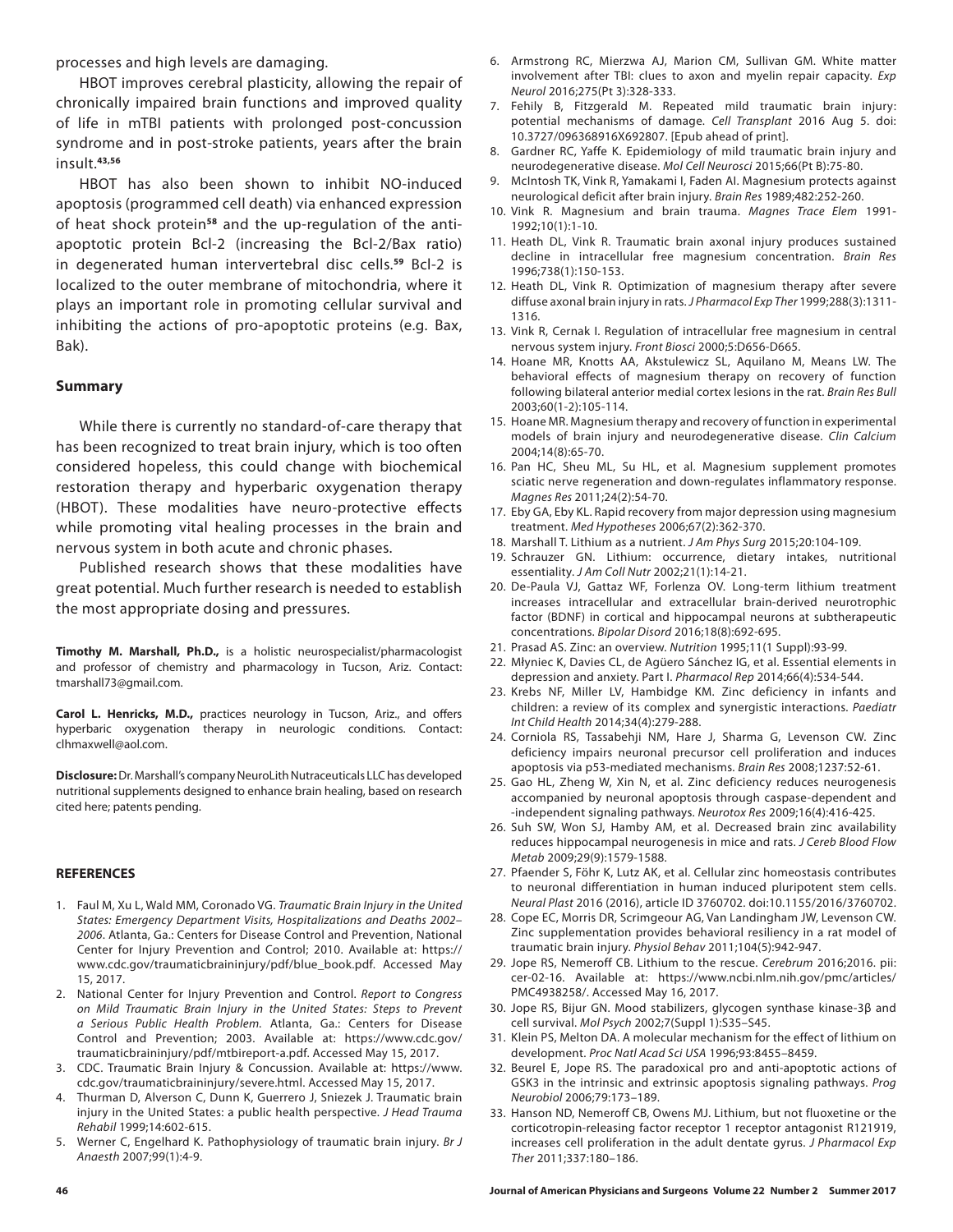processes and high levels are damaging.

HBOT improves cerebral plasticity, allowing the repair of chronically impaired brain functions and improved quality of life in mTBI patients with prolonged post-concussion syndrome and in post-stroke patients, years after the brain insult.**43,56**

HBOT has also been shown to inhibit NO-induced apoptosis (programmed cell death) via enhanced expression of heat shock protein**58** and the up-regulation of the antiapoptotic protein Bcl-2 (increasing the Bcl-2/Bax ratio) in degenerated human intervertebral disc cells.**<sup>59</sup>** Bcl-2 is localized to the outer membrane of mitochondria, where it plays an important role in promoting cellular survival and inhibiting the actions of pro-apoptotic proteins (e.g. Bax, Bak).

#### **Summary**

While there is currently no standard-of-care therapy that has been recognized to treat brain injury, which is too often considered hopeless, this could change with biochemical restoration therapy and hyperbaric oxygenation therapy (HBOT). These modalities have neuro-protective effects while promoting vital healing processes in the brain and nervous system in both acute and chronic phases.

Published research shows that these modalities have great potential. Much further research is needed to establish the most appropriate dosing and pressures.

**Timothy M. Marshall, Ph.D.,** is a holistic neurospecialist/pharmacologist and professor of chemistry and pharmacology in Tucson, Ariz. Contact: tmarshall73@gmail.com.

**Carol L. Henricks, M.D.,** practices neurology in Tucson, Ariz., and offers hyperbaric oxygenation therapy in neurologic conditions. Contact: clhmaxwell@aol.com.

**Disclosure:** Dr. Marshall's company NeuroLith Nutraceuticals LLC has developed nutritional supplements designed to enhance brain healing, based on research cited here; patents pending.

#### **REFERENCES**

- 1. Faul M, Xu L, Wald MM, Coronado VG. *Traumatic Brain Injury in the United States: Emergency Department Visits, Hospitalizations and Deaths 2002– 2006*. Atlanta, Ga.: Centers for Disease Control and Prevention, National Center for Injury Prevention and Control; 2010. Available at: https:// www.cdc.gov/traumaticbraininjury/pdf/blue\_book.pdf. Accessed May 15, 2017.
- 2. National Center for Injury Prevention and Control. *Report to Congress on Mild Traumatic Brain Injury in the United States: Steps to Prevent a Serious Public Health Problem.* Atlanta, Ga.: Centers for Disease Control and Prevention; 2003. Available at: https://www.cdc.gov/ traumaticbraininjury/pdf/mtbireport-a.pdf. Accessed May 15, 2017.
- 3. CDC. Traumatic Brain Injury & Concussion. Available at: https://www. cdc.gov/traumaticbraininjury/severe.html. Accessed May 15, 2017.
- 4. Thurman D, Alverson C, Dunn K, Guerrero J, Sniezek J. Traumatic brain injury in the United States: a public health perspective. *J Head Trauma Rehabil* 1999;14:602-615.
- 5. Werner C, Engelhard K. Pathophysiology of traumatic brain injury. *Br J Anaesth* 2007;99(1):4-9.
- 6. Armstrong RC, Mierzwa AJ, Marion CM, Sullivan GM. White matter involvement after TBI: clues to axon and myelin repair capacity. *Exp Neurol* 2016;275(Pt 3):328-333.
- 7. Fehily B, Fitzgerald M. Repeated mild traumatic brain injury: potential mechanisms of damage. *Cell Transplant* 2016 Aug 5. doi: 10.3727/096368916X692807. [Epub ahead of print].
- 8. Gardner RC, Yaffe K. Epidemiology of mild traumatic brain injury and neurodegenerative disease. *Mol Cell Neurosci* 2015;66(Pt B):75-80.
- 9. McIntosh TK, Vink R, Yamakami I, Faden AI. Magnesium protects against neurological deficit after brain injury. *Brain Res* 1989;482:252-260.
- 10. Vink R. Magnesium and brain trauma. *Magnes Trace Elem* 1991- 1992;10(1):1-10.
- 11. Heath DL, Vink R. Traumatic brain axonal injury produces sustained decline in intracellular free magnesium concentration. *Brain Res* 1996;738(1):150-153.
- 12. Heath DL, Vink R. Optimization of magnesium therapy after severe diffuse axonal brain injury in rats. *J Pharmacol Exp Ther* 1999;288(3):1311- 1316.
- 13. Vink R, Cernak I. Regulation of intracellular free magnesium in central nervous system injury. *Front Biosci* 2000;5:D656-D665.
- 14. Hoane MR, Knotts AA, Akstulewicz SL, Aquilano M, Means LW. The behavioral effects of magnesium therapy on recovery of function following bilateral anterior medial cortex lesions in the rat. *Brain Res Bull* 2003;60(1-2):105-114.
- 15. Hoane MR. Magnesium therapy and recovery of function in experimental models of brain injury and neurodegenerative disease. *Clin Calcium* 2004;14(8):65-70.
- 16. Pan HC, Sheu ML, Su HL, et al. Magnesium supplement promotes sciatic nerve regeneration and down-regulates inflammatory response. *Magnes Res* 2011;24(2):54-70.
- 17. Eby GA, Eby KL. Rapid recovery from major depression using magnesium treatment. *Med Hypotheses* 2006;67(2):362-370.
- 18. Marshall T. Lithium as a nutrient. *J Am Phys Surg* 2015;20:104-109.
- 19. Schrauzer GN. Lithium: occurrence, dietary intakes, nutritional essentiality. *J Am Coll Nutr* 2002;21(1):14-21.
- 20. De-Paula VJ, Gattaz WF, Forlenza OV. Long-term lithium treatment increases intracellular and extracellular brain-derived neurotrophic factor (BDNF) in cortical and hippocampal neurons at subtherapeutic concentrations. *Bipolar Disord* 2016;18(8):692-695.
- 21. Prasad AS. Zinc: an overview. *Nutrition* 1995;11(1 Suppl):93-99.
- 22. Młyniec K, Davies CL, de Agüero Sánchez IG, et al. Essential elements in depression and anxiety. Part I. *Pharmacol Rep* 2014;66(4):534-544.
- 23. Krebs NF, Miller LV, Hambidge KM. Zinc deficiency in infants and children: a review of its complex and synergistic interactions. *Paediatr Int Child Health* 2014;34(4):279-288.
- 24. Corniola RS, Tassabehji NM, Hare J, Sharma G, Levenson CW. Zinc deficiency impairs neuronal precursor cell proliferation and induces apoptosis via p53-mediated mechanisms. *Brain Res* 2008;1237:52-61.
- 25. Gao HL, Zheng W, Xin N, et al. Zinc deficiency reduces neurogenesis accompanied by neuronal apoptosis through caspase-dependent and -independent signaling pathways. *Neurotox Res* 2009;16(4):416-425.
- 26. Suh SW, Won SJ, Hamby AM, et al. Decreased brain zinc availability reduces hippocampal neurogenesis in mice and rats. *J Cereb Blood Flow Metab* 2009;29(9):1579-1588.
- 27. Pfaender S, Föhr K, Lutz AK, et al. Cellular zinc homeostasis contributes to neuronal differentiation in human induced pluripotent stem cells. *Neural Plast* 2016 (2016), article ID 3760702. doi:10.1155/2016/3760702.
- 28. Cope EC, Morris DR, Scrimgeour AG, Van Landingham JW, Levenson CW. Zinc supplementation provides behavioral resiliency in a rat model of traumatic brain injury. *Physiol Behav* 2011;104(5):942-947.
- 29. Jope RS, Nemeroff CB. Lithium to the rescue. *Cerebrum* 2016;2016. pii: cer-02-16. Available at: https://www.ncbi.nlm.nih.gov/pmc/articles/ PMC4938258/. Accessed May 16, 2017.
- 30. Jope RS, Bijur GN. Mood stabilizers, glycogen synthase kinase-3β and cell survival. *Mol Psych* 2002;7(Suppl 1):S35–S45.
- 31. Klein PS, Melton DA. A molecular mechanism for the effect of lithium on development. *Proc Natl Acad Sci USA* 1996;93:8455–8459.
- 32. Beurel E, Jope RS. The paradoxical pro and anti-apoptotic actions of GSK3 in the intrinsic and extrinsic apoptosis signaling pathways. *Prog Neurobiol* 2006;79:173–189.
- 33. Hanson ND, Nemeroff CB, Owens MJ. Lithium, but not fluoxetine or the corticotropin-releasing factor receptor 1 receptor antagonist R121919, increases cell proliferation in the adult dentate gyrus. *J Pharmacol Exp Ther* 2011;337:180–186.